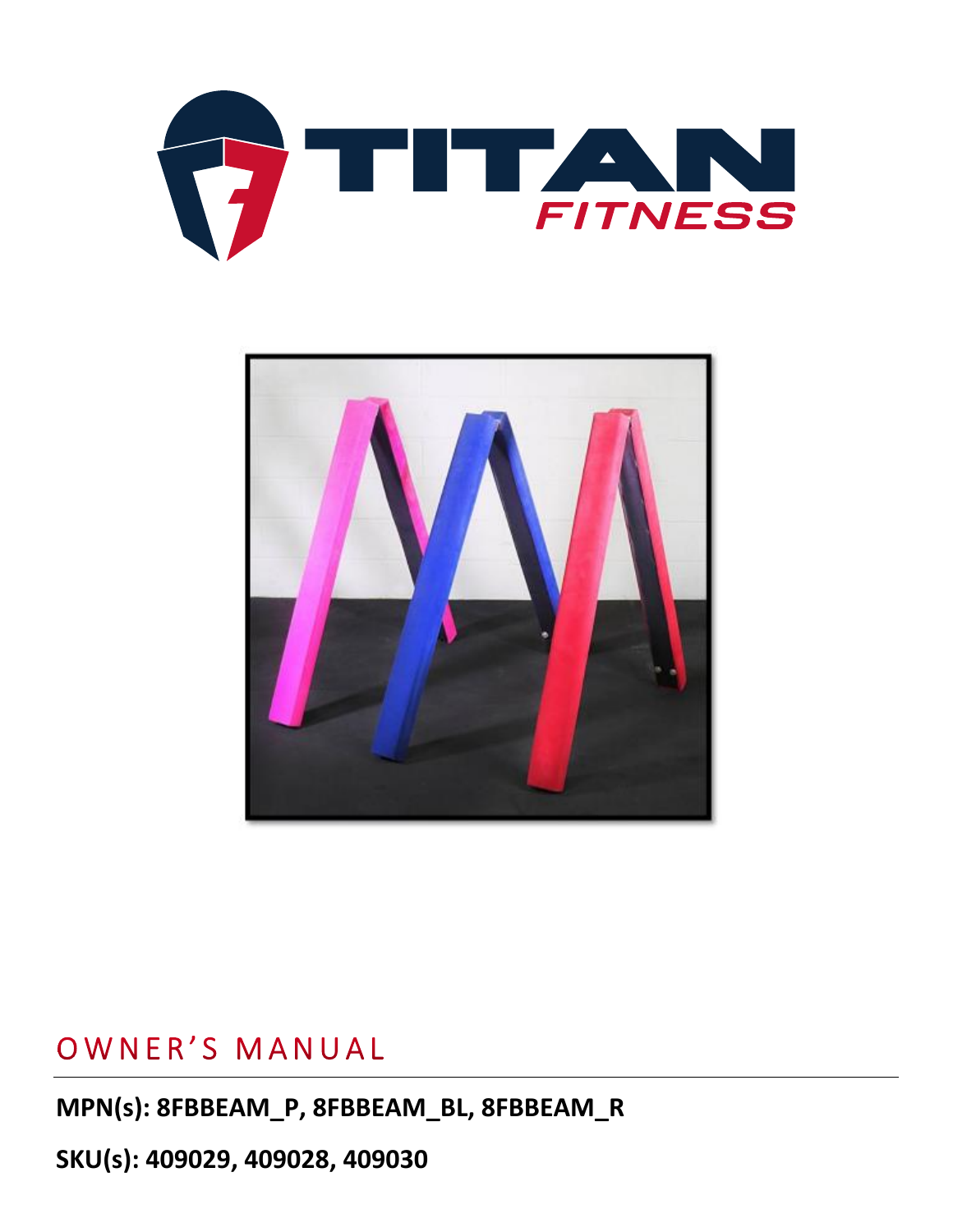



## OWNER'S MANUAL

**MPN(s): 8FBBEAM\_P, 8FBBEAM\_BL, 8FBBEAM\_R**

**SKU(s): 409029, 409028, 409030**